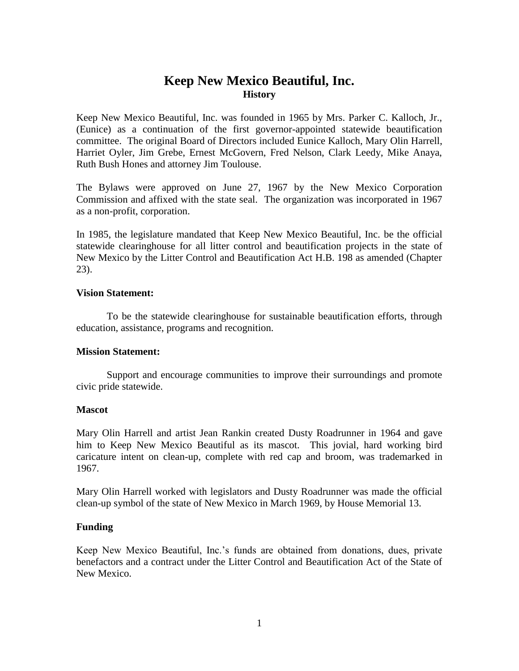# **Keep New Mexico Beautiful, Inc. History**

Keep New Mexico Beautiful, Inc. was founded in 1965 by Mrs. Parker C. Kalloch, Jr., (Eunice) as a continuation of the first governor-appointed statewide beautification committee. The original Board of Directors included Eunice Kalloch, Mary Olin Harrell, Harriet Oyler, Jim Grebe, Ernest McGovern, Fred Nelson, Clark Leedy, Mike Anaya, Ruth Bush Hones and attorney Jim Toulouse.

The Bylaws were approved on June 27, 1967 by the New Mexico Corporation Commission and affixed with the state seal. The organization was incorporated in 1967 as a non-profit, corporation.

In 1985, the legislature mandated that Keep New Mexico Beautiful, Inc. be the official statewide clearinghouse for all litter control and beautification projects in the state of New Mexico by the Litter Control and Beautification Act H.B. 198 as amended (Chapter 23).

## **Vision Statement:**

To be the statewide clearinghouse for sustainable beautification efforts, through education, assistance, programs and recognition.

#### **Mission Statement:**

Support and encourage communities to improve their surroundings and promote civic pride statewide.

#### **Mascot**

Mary Olin Harrell and artist Jean Rankin created Dusty Roadrunner in 1964 and gave him to Keep New Mexico Beautiful as its mascot. This jovial, hard working bird caricature intent on clean-up, complete with red cap and broom, was trademarked in 1967.

Mary Olin Harrell worked with legislators and Dusty Roadrunner was made the official clean-up symbol of the state of New Mexico in March 1969, by House Memorial 13.

## **Funding**

Keep New Mexico Beautiful, Inc.'s funds are obtained from donations, dues, private benefactors and a contract under the Litter Control and Beautification Act of the State of New Mexico.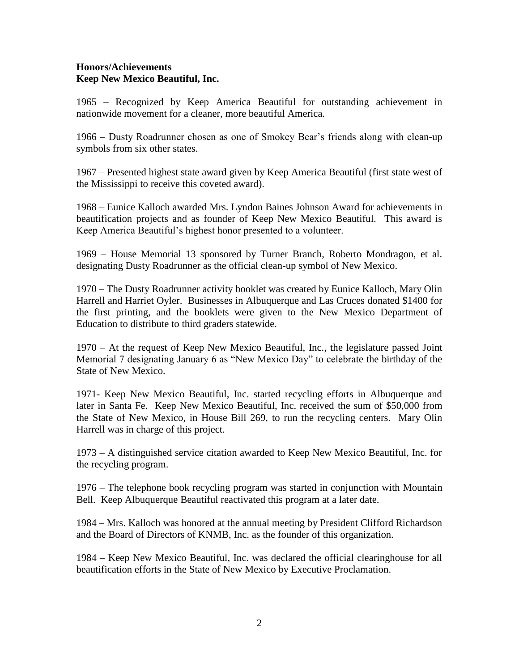# **Honors/Achievements Keep New Mexico Beautiful, Inc.**

1965 – Recognized by Keep America Beautiful for outstanding achievement in nationwide movement for a cleaner, more beautiful America.

1966 – Dusty Roadrunner chosen as one of Smokey Bear's friends along with clean-up symbols from six other states.

1967 – Presented highest state award given by Keep America Beautiful (first state west of the Mississippi to receive this coveted award).

1968 – Eunice Kalloch awarded Mrs. Lyndon Baines Johnson Award for achievements in beautification projects and as founder of Keep New Mexico Beautiful. This award is Keep America Beautiful's highest honor presented to a volunteer.

1969 – House Memorial 13 sponsored by Turner Branch, Roberto Mondragon, et al. designating Dusty Roadrunner as the official clean-up symbol of New Mexico.

1970 – The Dusty Roadrunner activity booklet was created by Eunice Kalloch, Mary Olin Harrell and Harriet Oyler. Businesses in Albuquerque and Las Cruces donated \$1400 for the first printing, and the booklets were given to the New Mexico Department of Education to distribute to third graders statewide.

1970 – At the request of Keep New Mexico Beautiful, Inc., the legislature passed Joint Memorial 7 designating January 6 as "New Mexico Day" to celebrate the birthday of the State of New Mexico.

1971- Keep New Mexico Beautiful, Inc. started recycling efforts in Albuquerque and later in Santa Fe. Keep New Mexico Beautiful, Inc. received the sum of \$50,000 from the State of New Mexico, in House Bill 269, to run the recycling centers. Mary Olin Harrell was in charge of this project.

1973 – A distinguished service citation awarded to Keep New Mexico Beautiful, Inc. for the recycling program.

1976 – The telephone book recycling program was started in conjunction with Mountain Bell. Keep Albuquerque Beautiful reactivated this program at a later date.

1984 – Mrs. Kalloch was honored at the annual meeting by President Clifford Richardson and the Board of Directors of KNMB, Inc. as the founder of this organization.

1984 – Keep New Mexico Beautiful, Inc. was declared the official clearinghouse for all beautification efforts in the State of New Mexico by Executive Proclamation.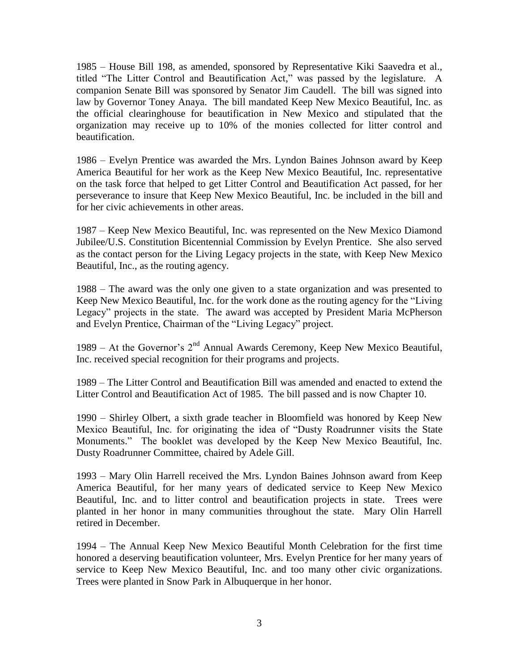1985 – House Bill 198, as amended, sponsored by Representative Kiki Saavedra et al., titled "The Litter Control and Beautification Act," was passed by the legislature. A companion Senate Bill was sponsored by Senator Jim Caudell. The bill was signed into law by Governor Toney Anaya. The bill mandated Keep New Mexico Beautiful, Inc. as the official clearinghouse for beautification in New Mexico and stipulated that the organization may receive up to 10% of the monies collected for litter control and beautification.

1986 – Evelyn Prentice was awarded the Mrs. Lyndon Baines Johnson award by Keep America Beautiful for her work as the Keep New Mexico Beautiful, Inc. representative on the task force that helped to get Litter Control and Beautification Act passed, for her perseverance to insure that Keep New Mexico Beautiful, Inc. be included in the bill and for her civic achievements in other areas.

1987 – Keep New Mexico Beautiful, Inc. was represented on the New Mexico Diamond Jubilee/U.S. Constitution Bicentennial Commission by Evelyn Prentice. She also served as the contact person for the Living Legacy projects in the state, with Keep New Mexico Beautiful, Inc., as the routing agency.

1988 – The award was the only one given to a state organization and was presented to Keep New Mexico Beautiful, Inc. for the work done as the routing agency for the "Living Legacy" projects in the state. The award was accepted by President Maria McPherson and Evelyn Prentice, Chairman of the "Living Legacy" project.

1989 – At the Governor's  $2<sup>nd</sup>$  Annual Awards Ceremony, Keep New Mexico Beautiful, Inc. received special recognition for their programs and projects.

1989 – The Litter Control and Beautification Bill was amended and enacted to extend the Litter Control and Beautification Act of 1985. The bill passed and is now Chapter 10.

1990 – Shirley Olbert, a sixth grade teacher in Bloomfield was honored by Keep New Mexico Beautiful, Inc. for originating the idea of "Dusty Roadrunner visits the State Monuments." The booklet was developed by the Keep New Mexico Beautiful, Inc. Dusty Roadrunner Committee, chaired by Adele Gill.

1993 – Mary Olin Harrell received the Mrs. Lyndon Baines Johnson award from Keep America Beautiful, for her many years of dedicated service to Keep New Mexico Beautiful, Inc. and to litter control and beautification projects in state. Trees were planted in her honor in many communities throughout the state. Mary Olin Harrell retired in December.

1994 – The Annual Keep New Mexico Beautiful Month Celebration for the first time honored a deserving beautification volunteer, Mrs. Evelyn Prentice for her many years of service to Keep New Mexico Beautiful, Inc. and too many other civic organizations. Trees were planted in Snow Park in Albuquerque in her honor.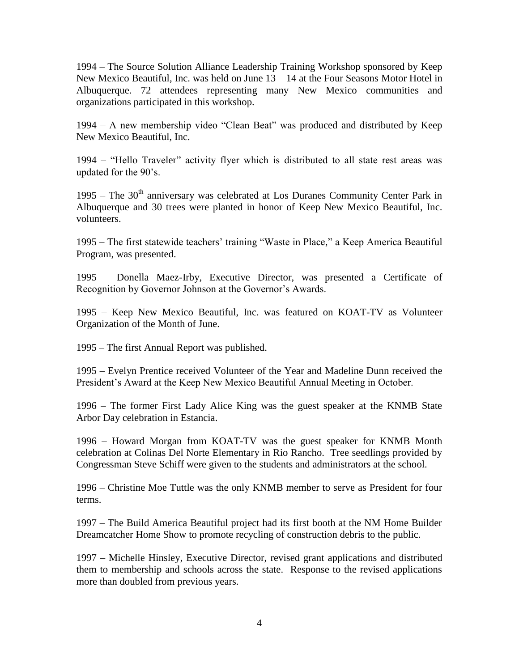1994 – The Source Solution Alliance Leadership Training Workshop sponsored by Keep New Mexico Beautiful, Inc. was held on June 13 – 14 at the Four Seasons Motor Hotel in Albuquerque. 72 attendees representing many New Mexico communities and organizations participated in this workshop.

1994 – A new membership video "Clean Beat" was produced and distributed by Keep New Mexico Beautiful, Inc.

1994 – "Hello Traveler" activity flyer which is distributed to all state rest areas was updated for the 90's.

1995 – The  $30<sup>th</sup>$  anniversary was celebrated at Los Duranes Community Center Park in Albuquerque and 30 trees were planted in honor of Keep New Mexico Beautiful, Inc. volunteers.

1995 – The first statewide teachers' training "Waste in Place," a Keep America Beautiful Program, was presented.

1995 – Donella Maez-Irby, Executive Director, was presented a Certificate of Recognition by Governor Johnson at the Governor's Awards.

1995 – Keep New Mexico Beautiful, Inc. was featured on KOAT-TV as Volunteer Organization of the Month of June.

1995 – The first Annual Report was published.

1995 – Evelyn Prentice received Volunteer of the Year and Madeline Dunn received the President's Award at the Keep New Mexico Beautiful Annual Meeting in October.

1996 – The former First Lady Alice King was the guest speaker at the KNMB State Arbor Day celebration in Estancia.

1996 – Howard Morgan from KOAT-TV was the guest speaker for KNMB Month celebration at Colinas Del Norte Elementary in Rio Rancho. Tree seedlings provided by Congressman Steve Schiff were given to the students and administrators at the school.

1996 – Christine Moe Tuttle was the only KNMB member to serve as President for four terms.

1997 – The Build America Beautiful project had its first booth at the NM Home Builder Dreamcatcher Home Show to promote recycling of construction debris to the public.

1997 – Michelle Hinsley, Executive Director, revised grant applications and distributed them to membership and schools across the state. Response to the revised applications more than doubled from previous years.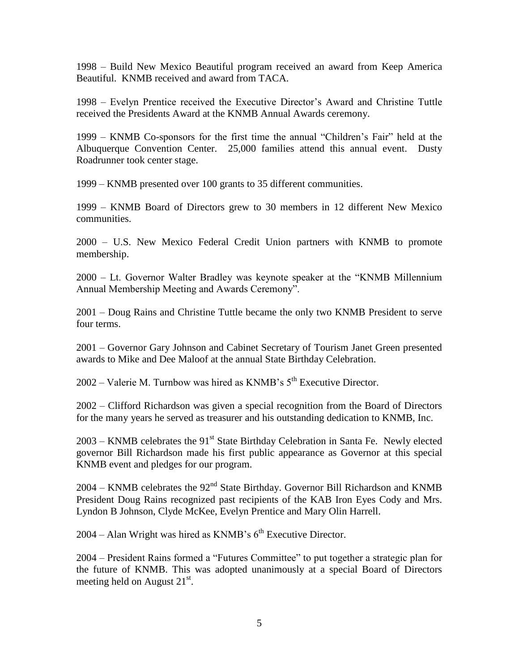1998 – Build New Mexico Beautiful program received an award from Keep America Beautiful. KNMB received and award from TACA.

1998 – Evelyn Prentice received the Executive Director's Award and Christine Tuttle received the Presidents Award at the KNMB Annual Awards ceremony.

1999 – KNMB Co-sponsors for the first time the annual "Children's Fair" held at the Albuquerque Convention Center. 25,000 families attend this annual event. Dusty Roadrunner took center stage.

1999 – KNMB presented over 100 grants to 35 different communities.

1999 – KNMB Board of Directors grew to 30 members in 12 different New Mexico communities.

2000 – U.S. New Mexico Federal Credit Union partners with KNMB to promote membership.

2000 – Lt. Governor Walter Bradley was keynote speaker at the "KNMB Millennium Annual Membership Meeting and Awards Ceremony".

2001 – Doug Rains and Christine Tuttle became the only two KNMB President to serve four terms.

2001 – Governor Gary Johnson and Cabinet Secretary of Tourism Janet Green presented awards to Mike and Dee Maloof at the annual State Birthday Celebration.

 $2002 -$  Valerie M. Turnbow was hired as KNMB's  $5<sup>th</sup>$  Executive Director.

2002 – Clifford Richardson was given a special recognition from the Board of Directors for the many years he served as treasurer and his outstanding dedication to KNMB, Inc.

 $2003 - KNMB$  celebrates the 91<sup>st</sup> State Birthday Celebration in Santa Fe. Newly elected governor Bill Richardson made his first public appearance as Governor at this special KNMB event and pledges for our program.

 $2004 -$  KNMB celebrates the  $92<sup>nd</sup>$  State Birthday. Governor Bill Richardson and KNMB President Doug Rains recognized past recipients of the KAB Iron Eyes Cody and Mrs. Lyndon B Johnson, Clyde McKee, Evelyn Prentice and Mary Olin Harrell.

 $2004 -$  Alan Wright was hired as KNMB's  $6<sup>th</sup>$  Executive Director.

2004 – President Rains formed a "Futures Committee" to put together a strategic plan for the future of KNMB. This was adopted unanimously at a special Board of Directors meeting held on August  $21<sup>st</sup>$ .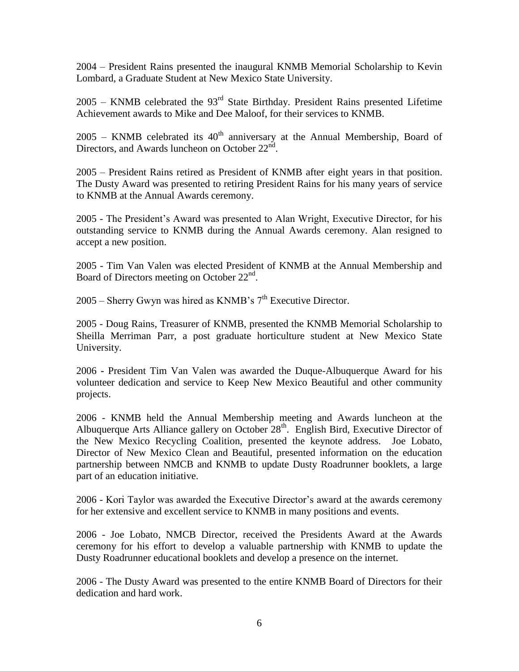2004 – President Rains presented the inaugural KNMB Memorial Scholarship to Kevin Lombard, a Graduate Student at New Mexico State University.

 $2005 -$  KNMB celebrated the  $93<sup>rd</sup>$  State Birthday. President Rains presented Lifetime Achievement awards to Mike and Dee Maloof, for their services to KNMB.

 $2005$  – KNMB celebrated its  $40<sup>th</sup>$  anniversary at the Annual Membership, Board of Directors, and Awards luncheon on October 22<sup>nd</sup>.

2005 – President Rains retired as President of KNMB after eight years in that position. The Dusty Award was presented to retiring President Rains for his many years of service to KNMB at the Annual Awards ceremony.

2005 - The President's Award was presented to Alan Wright, Executive Director, for his outstanding service to KNMB during the Annual Awards ceremony. Alan resigned to accept a new position.

2005 - Tim Van Valen was elected President of KNMB at the Annual Membership and Board of Directors meeting on October 22<sup>nd</sup>.

 $2005$  – Sherry Gwyn was hired as KNMB's  $7<sup>th</sup>$  Executive Director.

2005 - Doug Rains, Treasurer of KNMB, presented the KNMB Memorial Scholarship to Sheilla Merriman Parr, a post graduate horticulture student at New Mexico State University.

2006 **-** President Tim Van Valen was awarded the Duque-Albuquerque Award for his volunteer dedication and service to Keep New Mexico Beautiful and other community projects.

2006 - KNMB held the Annual Membership meeting and Awards luncheon at the Albuquerque Arts Alliance gallery on October  $28<sup>th</sup>$ . English Bird, Executive Director of the New Mexico Recycling Coalition, presented the keynote address. Joe Lobato, Director of New Mexico Clean and Beautiful, presented information on the education partnership between NMCB and KNMB to update Dusty Roadrunner booklets, a large part of an education initiative.

2006 - Kori Taylor was awarded the Executive Director's award at the awards ceremony for her extensive and excellent service to KNMB in many positions and events.

2006 - Joe Lobato, NMCB Director, received the Presidents Award at the Awards ceremony for his effort to develop a valuable partnership with KNMB to update the Dusty Roadrunner educational booklets and develop a presence on the internet.

2006 - The Dusty Award was presented to the entire KNMB Board of Directors for their dedication and hard work.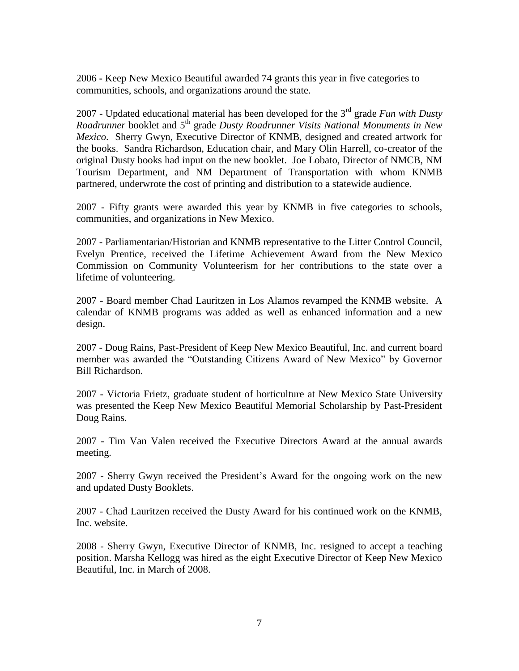2006 **-** Keep New Mexico Beautiful awarded 74 grants this year in five categories to communities, schools, and organizations around the state.

2007 - Updated educational material has been developed for the 3rd grade *Fun with Dusty Roadrunner* booklet and 5th grade *Dusty Roadrunner Visits National Monuments in New Mexico*. Sherry Gwyn, Executive Director of KNMB, designed and created artwork for the books. Sandra Richardson, Education chair, and Mary Olin Harrell, co-creator of the original Dusty books had input on the new booklet. Joe Lobato, Director of NMCB, NM Tourism Department, and NM Department of Transportation with whom KNMB partnered, underwrote the cost of printing and distribution to a statewide audience.

2007 - Fifty grants were awarded this year by KNMB in five categories to schools, communities, and organizations in New Mexico.

2007 - Parliamentarian/Historian and KNMB representative to the Litter Control Council, Evelyn Prentice, received the Lifetime Achievement Award from the New Mexico Commission on Community Volunteerism for her contributions to the state over a lifetime of volunteering.

2007 - Board member Chad Lauritzen in Los Alamos revamped the KNMB website. A calendar of KNMB programs was added as well as enhanced information and a new design.

2007 - Doug Rains, Past-President of Keep New Mexico Beautiful, Inc. and current board member was awarded the "Outstanding Citizens Award of New Mexico" by Governor Bill Richardson.

2007 - Victoria Frietz, graduate student of horticulture at New Mexico State University was presented the Keep New Mexico Beautiful Memorial Scholarship by Past-President Doug Rains.

2007 - Tim Van Valen received the Executive Directors Award at the annual awards meeting.

2007 - Sherry Gwyn received the President's Award for the ongoing work on the new and updated Dusty Booklets.

2007 - Chad Lauritzen received the Dusty Award for his continued work on the KNMB, Inc. website.

2008 - Sherry Gwyn, Executive Director of KNMB, Inc. resigned to accept a teaching position. Marsha Kellogg was hired as the eight Executive Director of Keep New Mexico Beautiful, Inc. in March of 2008.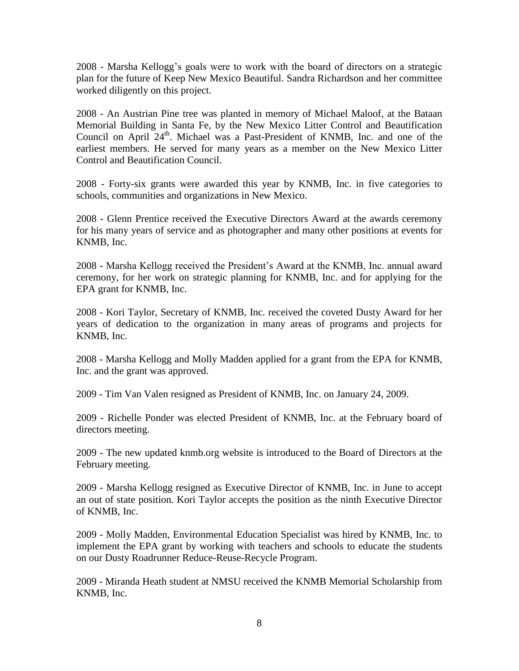2008 - Marsha Kellogg's goals were to work with the board of directors on a strategic plan for the future of Keep New Mexico Beautiful. Sandra Richardson and her committee worked diligently on this project.

2008 - An Austrian Pine tree was planted in memory of Michael Maloof, at the Bataan Memorial Building in Santa Fe, by the New Mexico Litter Control and Beautification Council on April 24<sup>th</sup>. Michael was a Past-President of KNMB, Inc. and one of the earliest members. He served for many years as a member on the New Mexico Litter Control and Beautification Council.

2008 - Forty-six grants were awarded this year by KNMB, Inc. in five categories to schools, communities and organizations in New Mexico.

2008 - Glenn Prentice received the Executive Directors Award at the awards ceremony for his many years of service and as photographer and many other positions at events for KNMB, Inc.

2008 - Marsha Kellogg received the President's Award at the KNMB, Inc. annual award ceremony, for her work on strategic planning for KNMB, Inc. and for applying for the EPA grant for KNMB, Inc.

2008 - Kori Taylor, Secretary of KNMB, Inc. received the coveted Dusty Award for her years of dedication to the organization in many areas of programs and projects for KNMB, Inc.

2008 - Marsha Kellogg and Molly Madden applied for a grant from the EPA for KNMB, Inc. and the grant was approved.

2009 - Tim Van Valen resigned as President of KNMB, Inc. on January 24, 2009.

2009 - Richelle Ponder was elected President of KNMB, Inc. at the February board of directors meeting.

2009 - The new updated knmb.org website is introduced to the Board of Directors at the February meeting.

2009 - Marsha Kellogg resigned as Executive Director of KNMB, Inc. in June to accept an out of state position. Kori Taylor accepts the position as the ninth Executive Director of KNMB, Inc.

2009 - Molly Madden, Environmental Education Specialist was hired by KNMB, Inc. to implement the EPA grant by working with teachers and schools to educate the students on our Dusty Roadrunner Reduce-Reuse-Recycle Program.

2009 - Miranda Heath student at NMSU received the KNMB Memorial Scholarship from KNMB, Inc.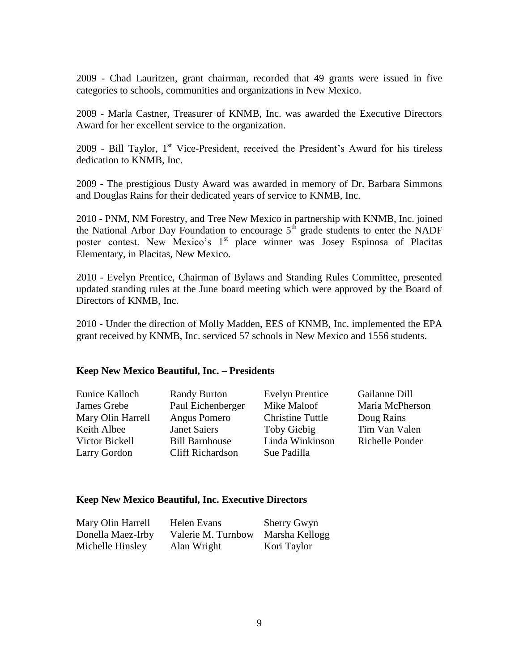2009 - Chad Lauritzen, grant chairman, recorded that 49 grants were issued in five categories to schools, communities and organizations in New Mexico.

2009 - Marla Castner, Treasurer of KNMB, Inc. was awarded the Executive Directors Award for her excellent service to the organization.

 $2009$  - Bill Taylor,  $1<sup>st</sup>$  Vice-President, received the President's Award for his tireless dedication to KNMB, Inc.

2009 - The prestigious Dusty Award was awarded in memory of Dr. Barbara Simmons and Douglas Rains for their dedicated years of service to KNMB, Inc.

2010 - PNM, NM Forestry, and Tree New Mexico in partnership with KNMB, Inc. joined the National Arbor Day Foundation to encourage  $5<sup>th</sup>$  grade students to enter the NADF poster contest. New Mexico's 1<sup>st</sup> place winner was Josey Espinosa of Placitas Elementary, in Placitas, New Mexico.

2010 - Evelyn Prentice, Chairman of Bylaws and Standing Rules Committee, presented updated standing rules at the June board meeting which were approved by the Board of Directors of KNMB, Inc.

2010 - Under the direction of Molly Madden, EES of KNMB, Inc. implemented the EPA grant received by KNMB, Inc. serviced 57 schools in New Mexico and 1556 students.

## **Keep New Mexico Beautiful, Inc. – Presidents**

| Eunice Kalloch    | <b>Randy Burton</b>     | <b>Evelyn Prentice</b>  | Gailanne Dill   |
|-------------------|-------------------------|-------------------------|-----------------|
| James Grebe       | Paul Eichenberger       | Mike Maloof             | Maria McPherson |
| Mary Olin Harrell | Angus Pomero            | <b>Christine Tuttle</b> | Doug Rains      |
| Keith Albee       | <b>Janet Saiers</b>     | Toby Giebig             | Tim Van Valen   |
| Victor Bickell    | <b>Bill Barnhouse</b>   | Linda Winkinson         | Richelle Ponder |
| Larry Gordon      | <b>Cliff Richardson</b> | Sue Padilla             |                 |
|                   |                         |                         |                 |

#### **Keep New Mexico Beautiful, Inc. Executive Directors**

| Mary Olin Harrell | Helen Evans        | <b>Sherry Gwyn</b> |
|-------------------|--------------------|--------------------|
| Donella Maez-Irby | Valerie M. Turnbow | Marsha Kellogg     |
| Michelle Hinsley  | Alan Wright        | Kori Taylor        |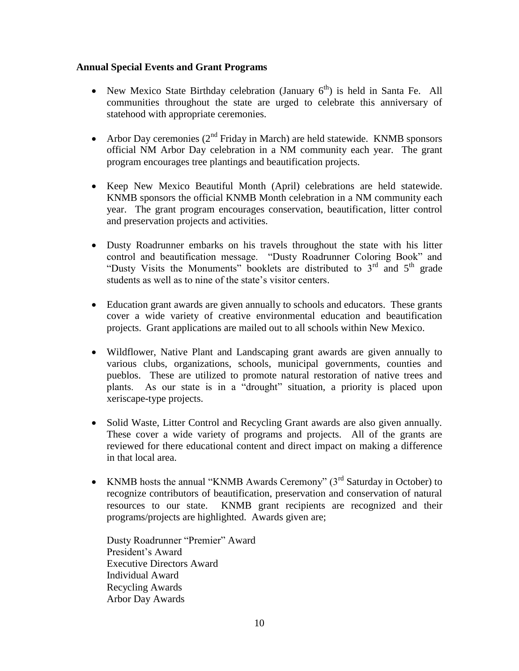## **Annual Special Events and Grant Programs**

- New Mexico State Birthday celebration (January  $6<sup>th</sup>$ ) is held in Santa Fe. All communities throughout the state are urged to celebrate this anniversary of statehood with appropriate ceremonies.
- Arbor Day ceremonies  $(2^{nd}$  Friday in March) are held statewide. KNMB sponsors official NM Arbor Day celebration in a NM community each year. The grant program encourages tree plantings and beautification projects.
- Keep New Mexico Beautiful Month (April) celebrations are held statewide. KNMB sponsors the official KNMB Month celebration in a NM community each year. The grant program encourages conservation, beautification, litter control and preservation projects and activities.
- Dusty Roadrunner embarks on his travels throughout the state with his litter control and beautification message. "Dusty Roadrunner Coloring Book" and "Dusty Visits the Monuments" booklets are distributed to  $3<sup>rd</sup>$  and  $5<sup>th</sup>$  grade students as well as to nine of the state's visitor centers.
- Education grant awards are given annually to schools and educators. These grants cover a wide variety of creative environmental education and beautification projects. Grant applications are mailed out to all schools within New Mexico.
- Wildflower, Native Plant and Landscaping grant awards are given annually to various clubs, organizations, schools, municipal governments, counties and pueblos. These are utilized to promote natural restoration of native trees and plants. As our state is in a "drought" situation, a priority is placed upon xeriscape-type projects.
- Solid Waste, Litter Control and Recycling Grant awards are also given annually. These cover a wide variety of programs and projects. All of the grants are reviewed for there educational content and direct impact on making a difference in that local area.
- KNMB hosts the annual "KNMB Awards Ceremony"  $(3<sup>rd</sup>$  Saturday in October) to recognize contributors of beautification, preservation and conservation of natural resources to our state. KNMB grant recipients are recognized and their programs/projects are highlighted. Awards given are;

Dusty Roadrunner "Premier" Award President's Award Executive Directors Award Individual Award Recycling Awards Arbor Day Awards